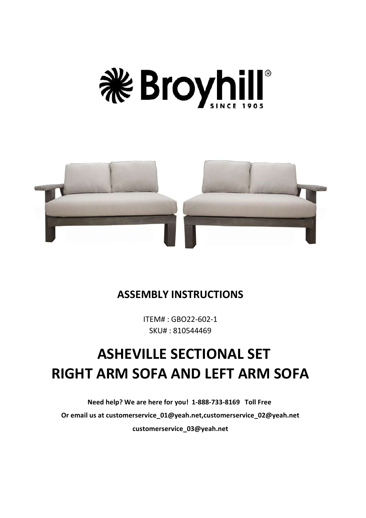



# **ASSEMBLY INSTRUCTIONS**

ITEM# : GBO22-602-1 SKU# : 810544469

# **ASHEVILLE SECTIONAL SET RIGHT ARM SOFA AND LEFT ARM SOFA**

**Need help? We are here for you! 1-888-733-8169 Toll Free Or email us at customerservice\_01@yeah.net,customerservice\_02@yeah.net customerservice\_03@yeah.net**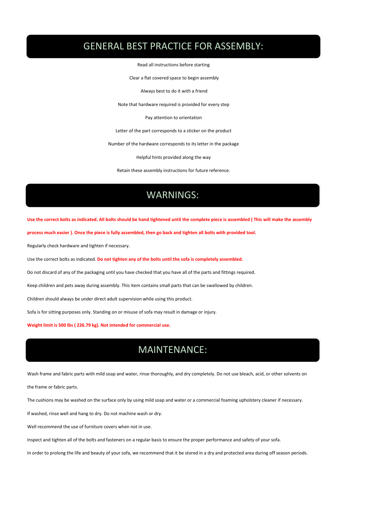# GENERAL BEST PRACTICE FOR ASSEMBLY:

Read all instructions before starting

Clear a flat covered space to begin assembly

Always best to do it with a friend

Note that hardware required is provided for every step

Pay attention to orientation

Letter of the part corresponds to a sticker on the product

Number of the hardware corresponds to its letter in the package

Helpful hints provided along the way

Retain these assembly instructions for future reference.

# **WARNINGS:** WARNINGS:

Use the correct bolts as indicated. All bolts should be hand tightened until the complete piece is assembled (This will make the assembly

process much easier). Once the piece is fully assembled, then go back and tighten all bolts with provided tool.

Regularly check hardware and tighten if necessary.

Use the correct bolts as indicated. **Do not tighten any of the bolts until the sofa is completely assembled.**

Do not discard of any of the packaging until you have checked thatyou have all of the parts and fittings required.

Keep children and pets away during assembly. This item contains small parts thatcan be swallowed by children.

Children should always be under direct adult supervision while using this product.

Sofa is for sitting purposes only. Standing on or misuse of sofa may result in damage or injury.

**Weight limit is 500 lbs ( 226.79 kg). Not intended for commercial use.**

# **MAINTENANCE** MAINTENANCE:

Wash frame and fabric parts with mild soap and water, rinse thoroughly, and dry completely. Do not use bleach, acid, or other solvents on

the frame or fabric parts.

The cushions may be washed on the surface only by using mild soap and water or a commercial foaming upholstery cleaner if necessary.

If washed, rinse well and hang to dry. Do not machine wash or dry.

Well recommend the use of furniture covers when not in use.

Inspect and tighten all of the bolts and fasteners on a regular basis to ensure the proper performance and safety of your sofa.

In order to prolong the life and beauty of your sofa, we recommend that it be stored in a dry and protected area during off season periods.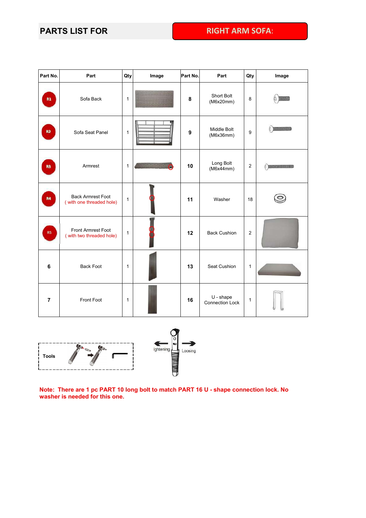## **PARTS LIST FOR RIGHT ARM SOFA**:

| Part No.       | Part                                                 | Qty            | Image | Part No.         | Part                                  | Qty              | Image                                                                                                                                                                                                                                                                                                                                               |
|----------------|------------------------------------------------------|----------------|-------|------------------|---------------------------------------|------------------|-----------------------------------------------------------------------------------------------------------------------------------------------------------------------------------------------------------------------------------------------------------------------------------------------------------------------------------------------------|
| R1             | Sofa Back                                            | $\overline{1}$ |       | 8                | Short Bolt<br>(M6x20mm)               | 8                | O KKOLO                                                                                                                                                                                                                                                                                                                                             |
| R2             | Sofa Seat Panel                                      | $\mathbf{1}$   |       | $\boldsymbol{9}$ | Middle Bolt<br>(M6x36mm)              | $\boldsymbol{9}$ | <b>DESCRIPTION</b>                                                                                                                                                                                                                                                                                                                                  |
| R3             | Armrest                                              | $\mathbf{1}$   |       | 10               | Long Bolt<br>(M6x44mm)                | $\boldsymbol{2}$ | $\begin{picture}(180,10) \put(0,0){\line(1,0){10}} \put(10,0){\line(1,0){10}} \put(10,0){\line(1,0){10}} \put(10,0){\line(1,0){10}} \put(10,0){\line(1,0){10}} \put(10,0){\line(1,0){10}} \put(10,0){\line(1,0){10}} \put(10,0){\line(1,0){10}} \put(10,0){\line(1,0){10}} \put(10,0){\line(1,0){10}} \put(10,0){\line(1,0){10}} \put(10,0){\line($ |
| R4             | <b>Back Armrest Foot</b><br>(with one threaded hole) | $\mathbf{1}$   |       | 11               | Washer                                | 18               | $\circledcirc$                                                                                                                                                                                                                                                                                                                                      |
| R5             | Front Armrest Foot<br>(with two threaded hole)       | $\mathbf{1}$   |       | 12               | <b>Back Cushion</b>                   | $\boldsymbol{2}$ |                                                                                                                                                                                                                                                                                                                                                     |
| 6              | <b>Back Foot</b>                                     | $\mathbf{1}$   |       | 13               | Seat Cushion                          | $\mathbf{1}$     |                                                                                                                                                                                                                                                                                                                                                     |
| $\overline{7}$ | Front Foot                                           | $\mathbf{1}$   |       | 16               | $U - shape$<br><b>Connection Lock</b> | $\mathbf{1}$     |                                                                                                                                                                                                                                                                                                                                                     |



**Note: There are 1 pc PART 10 long bolt to match PART 16 U - shape connection lock. No washer is needed for this one.**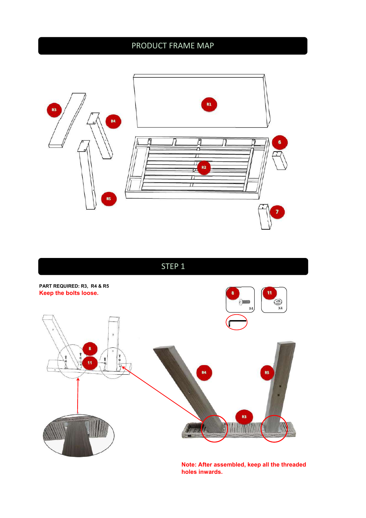# PRODUCT FRAME MAP



**STEP 1** STEP 1



**Note: After assembled, keep all the threaded holes inwards.**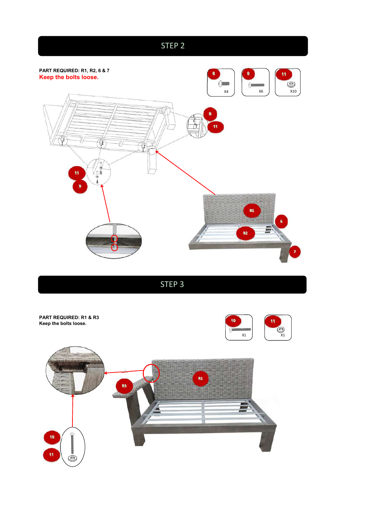

STEP 3

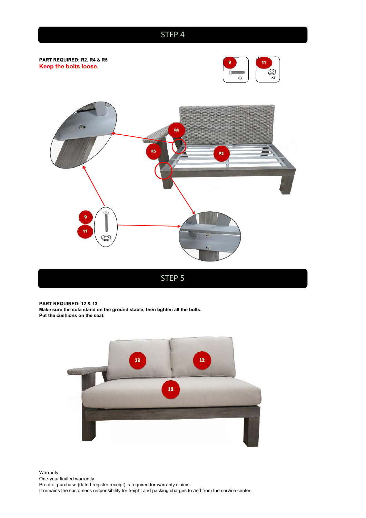### **STEP 3** STEP 4



**PART REQUIRED: 12 & 13 Make sure the sofa stand on the ground stable, then tighten all the bolts. Put the cushions on the seat.**



Warranty **Warranty Warranty Warranty Warranty** One-year limited warrantly. Proof of purchase (dated register receipt) is required for warranty claims. It remains the customer's responsibility for freight and packing charges to and from the service center.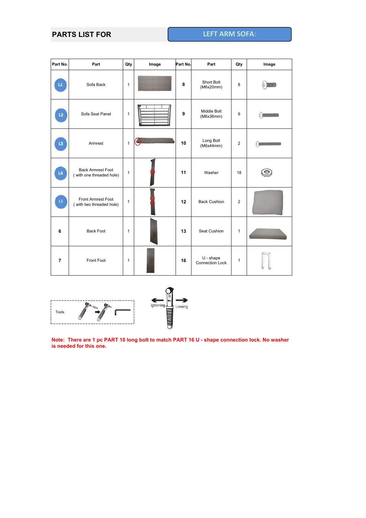#### **PARTS LIST FOR LEFT ARM SOFA**:

| Part No.                | Part                                                 | Qty          | Image | Part No. | Part                           | Qty            | Image            |
|-------------------------|------------------------------------------------------|--------------|-------|----------|--------------------------------|----------------|------------------|
| $\mathbf{L} \mathbf{1}$ | Sofa Back                                            | $\mathbf{1}$ |       | 8        | Short Bolt<br>(M6x20mm)        | 8              | O KKAO           |
| L2                      | Sofa Seat Panel                                      | $\mathbf{1}$ |       | 9        | Middle Bolt<br>(M6x36mm)       | 9              | $\circ$          |
| L3                      | Armrest                                              | $\mathbf{1}$ |       | 10       | Long Bolt<br>(M6x44mm)         | $\overline{c}$ | 0.23333333333333 |
| L4                      | <b>Back Armrest Foot</b><br>(with one threaded hole) | $\mathbf{1}$ |       | 11       | Washer                         | 18             | $\circledcirc$   |
| L5                      | Front Armrest Foot<br>(with two threaded hole)       | $\mathbf{1}$ |       | 12       | <b>Back Cushion</b>            | $\overline{2}$ |                  |
| 6                       | <b>Back Foot</b>                                     | $\mathbf{1}$ |       | 13       | Seat Cushion                   | $\mathbf{1}$   |                  |
| $\overline{7}$          | Front Foot                                           | $\mathbf{1}$ |       | 16       | $U - shape$<br>Connection Lock | $\mathbf{1}$   |                  |





Note: There are 1 pc PART 10 long bolt to match PART 16 U - shape connection lock. No washer **is needed for this one.**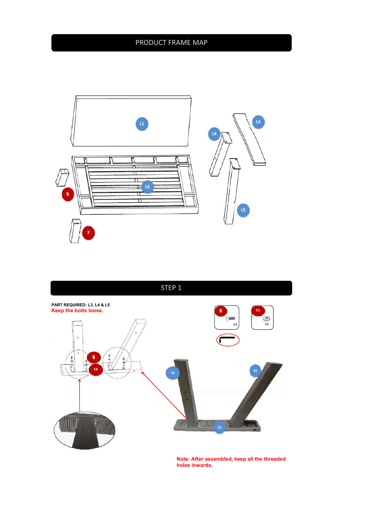# PRODUCT FRAME MAP





**Note: After assembled, keep all the threaded holes inwards.**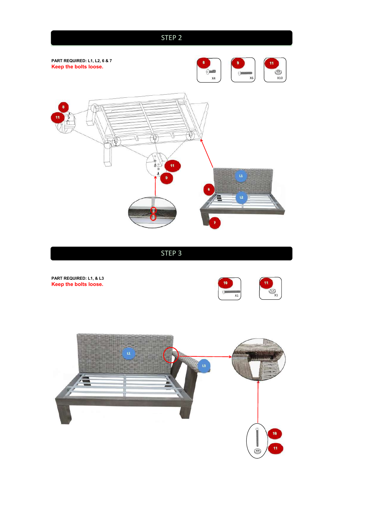# **STEP 3** STEP 2 **PART REQUIRED: L1, L2, 6 & 7 8 1 1 9 1 11 11 11 11 Keep the bolts loose.**<br>  $x_4$  $rac{1}{2}$  $\mathsf{x4}$  ) (  $\mathsf{x6}$  ) (  $\mathsf{x10}$  ) **8 11:41:12 12:42 12:42 12:42 12:42 12:42 12:42 12:42 12:42 12:42 12:42 12:42 12:42 12:42 12:42 12:42 12:42 12:42 12:42 12:42 12:42 12:42 12:42 12:42 12:42 12:42 12:42 12:42 12:42 12:42 12:42 12:42 12:42 12:42 12:42 12:4**  $\blacksquare$ (T) Ŵ  $\nabla^{(1)}$  $\frac{1}{2}$ **11. All and the contract of the contract of the contract of the contract of the contract of the contract of the contract of the contract of the contract of the contract of the contract of the contract of the contract of t L1 Representation of the contract of the contract of the contract of the contract of the contract of the contract of the contract of the contract of the contract of the contract of the contract of the contract of the co 9 6 L2 Lating the contract of the contract of the contract of the contract of the contract of the contract of the contract of the contract of the contract of the contract of the contract of the contract of the contract of t 7**

STEP 3 STEP 3

**PART REQUIRED: L1, & L3 Keep the bolts loose.**



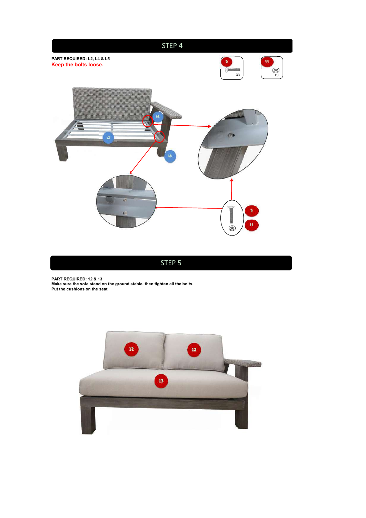

**PART REQUIRED: 12 & 13 Make sure the sofa stand on the ground stable, then tighten all the bolts. PART REQUIRED: 12 & 13**<br>Make sure the sofa stand on the ground stable, then tighten all the bolts.<br>Put the cushions on the seat.